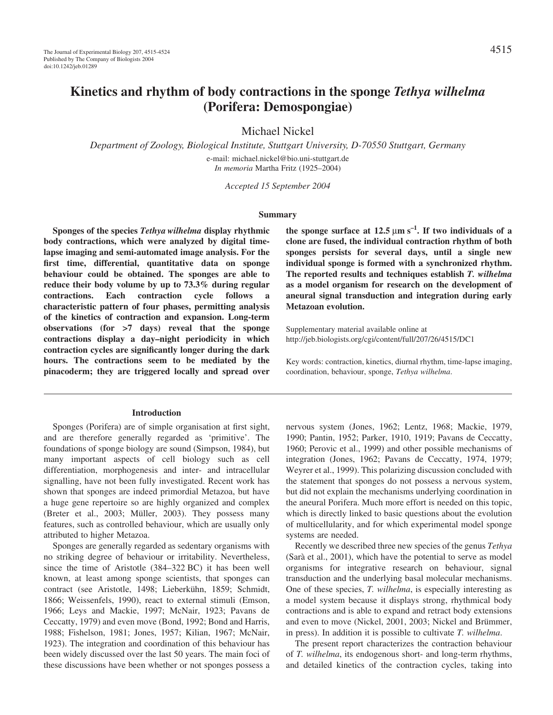# **Kinetics and rhythm of body contractions in the sponge** *Tethya wilhelma* **(Porifera: Demospongiae)**

Michael Nickel

*Department of Zoology, Biological Institute, Stuttgart University, D-70550 Stuttgart, Germany* 

e-mail: michael.nickel@bio.uni-stuttgart.de *In memoria* Martha Fritz (1925–2004)

*Accepted 15 September 2004*

#### **Summary**

**Sponges of the species** *Tethya wilhelma* **display rhythmic body contractions, which were analyzed by digital timelapse imaging and semi-automated image analysis. For the first time, differential, quantitative data on sponge behaviour could be obtained. The sponges are able to reduce their body volume by up to 73.3% during regular contractions. Each contraction cycle follows a characteristic pattern of four phases, permitting analysis of the kinetics of contraction and expansion. Long-term observations (for >7 days) reveal that the sponge contractions display a day–night periodicity in which contraction cycles are significantly longer during the dark hours. The contractions seem to be mediated by the pinacoderm; they are triggered locally and spread over**

#### **Introduction**

Sponges (Porifera) are of simple organisation at first sight, and are therefore generally regarded as 'primitive'. The foundations of sponge biology are sound (Simpson, 1984), but many important aspects of cell biology such as cell differentiation, morphogenesis and inter- and intracellular signalling, have not been fully investigated. Recent work has shown that sponges are indeed primordial Metazoa, but have a huge gene repertoire so are highly organized and complex (Breter et al., 2003; Müller, 2003). They possess many features, such as controlled behaviour, which are usually only attributed to higher Metazoa.

Sponges are generally regarded as sedentary organisms with no striking degree of behaviour or irritability. Nevertheless, since the time of Aristotle  $(384-322~\mathrm{BC})$  it has been well known, at least among sponge scientists, that sponges can contract (see Aristotle, 1498; Lieberkühn, 1859; Schmidt, 1866; Weissenfels, 1990), react to external stimuli (Emson, 1966; Leys and Mackie, 1997; McNair, 1923; Pavans de Ceccatty, 1979) and even move (Bond, 1992; Bond and Harris, 1988; Fishelson, 1981; Jones, 1957; Kilian, 1967; McNair, 1923). The integration and coordination of this behaviour has been widely discussed over the last 50 years. The main foci of these discussions have been whether or not sponges possess a the sponge surface at  $12.5 \mu m s^{-1}$ . If two individuals of a **clone are fused, the individual contraction rhythm of both sponges persists for several days, until a single new individual sponge is formed with a synchronized rhythm. The reported results and techniques establish** *T. wilhelma* **as a model organism for research on the development of aneural signal transduction and integration during early Metazoan evolution.**

Supplementary material available online at http://jeb.biologists.org/cgi/content/full/207/26/4515/DC1

Key words: contraction, kinetics, diurnal rhythm, time-lapse imaging, coordination, behaviour, sponge, *Tethya wilhelma*.

nervous system (Jones, 1962; Lentz, 1968; Mackie, 1979, 1990; Pantin, 1952; Parker, 1910, 1919; Pavans de Ceccatty, 1960; Perovic et al., 1999) and other possible mechanisms of integration (Jones, 1962; Pavans de Ceccatty, 1974, 1979; Weyrer et al., 1999). This polarizing discussion concluded with the statement that sponges do not possess a nervous system, but did not explain the mechanisms underlying coordination in the aneural Porifera. Much more effort is needed on this topic, which is directly linked to basic questions about the evolution of multicellularity, and for which experimental model sponge systems are needed.

Recently we described three new species of the genus *Tethya* (Sarà et al., 2001), which have the potential to serve as model organisms for integrative research on behaviour, signal transduction and the underlying basal molecular mechanisms. One of these species, *T. wilhelma*, is especially interesting as a model system because it displays strong, rhythmical body contractions and is able to expand and retract body extensions and even to move (Nickel, 2001, 2003; Nickel and Brümmer, in press). In addition it is possible to cultivate *T. wilhelma*.

The present report characterizes the contraction behaviour of *T. wilhelma*, its endogenous short- and long-term rhythms, and detailed kinetics of the contraction cycles, taking into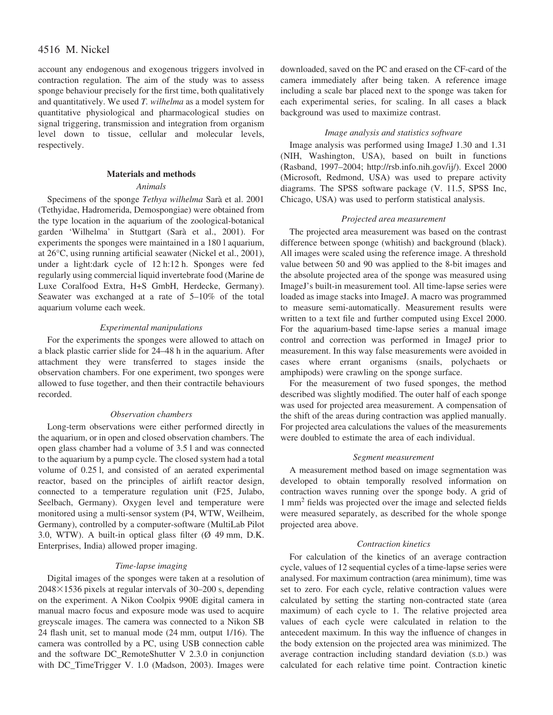account any endogenous and exogenous triggers involved in contraction regulation. The aim of the study was to assess sponge behaviour precisely for the first time, both qualitatively and quantitatively. We used *T. wilhelma* as a model system for quantitative physiological and pharmacological studies on signal triggering, transmission and integration from organism level down to tissue, cellular and molecular levels, respectively.

# **Materials and methods**

# *Animals*

Specimens of the sponge *Tethya wilhelma* Sarà et al. 2001 (Tethyidae, Hadromerida, Demospongiae) were obtained from the type location in the aquarium of the zoological-botanical garden 'Wilhelma' in Stuttgart (Sarà et al., 2001). For experiments the sponges were maintained in a 180 l aquarium, at 26°C, using running artificial seawater (Nickel et al., 2001), under a light:dark cycle of 12 h:12 h. Sponges were fed regularly using commercial liquid invertebrate food (Marine de Luxe Coralfood Extra, H+S GmbH, Herdecke, Germany). Seawater was exchanged at a rate of 5–10% of the total aquarium volume each week.

# *Experimental manipulations*

For the experiments the sponges were allowed to attach on a black plastic carrier slide for 24–48 h in the aquarium. After attachment they were transferred to stages inside the observation chambers. For one experiment, two sponges were allowed to fuse together, and then their contractile behaviours recorded.

#### *Observation chambers*

Long-term observations were either performed directly in the aquarium, or in open and closed observation chambers. The open glass chamber had a volume of 3.5 l and was connected to the aquarium by a pump cycle. The closed system had a total volume of 0.25 l, and consisted of an aerated experimental reactor, based on the principles of airlift reactor design, connected to a temperature regulation unit (F25, Julabo, Seelbach, Germany). Oxygen level and temperature were monitored using a multi-sensor system (P4, WTW, Weilheim, Germany), controlled by a computer-software (MultiLab Pilot 3.0, WTW). A built-in optical glass filter  $(Ø 49$  mm, D.K. Enterprises, India) allowed proper imaging.

# *Time-lapse imaging*

Digital images of the sponges were taken at a resolution of  $2048\times1536$  pixels at regular intervals of 30–200 s, depending on the experiment. A Nikon Coolpix 990E digital camera in manual macro focus and exposure mode was used to acquire greyscale images. The camera was connected to a Nikon SB 24 flash unit, set to manual mode  $(24 \text{ mm}, \text{ output } 1/16)$ . The camera was controlled by a PC, using USB connection cable and the software DC\_RemoteShutter V 2.3.0 in conjunction with DC\_TimeTrigger V. 1.0 (Madson, 2003). Images were downloaded, saved on the PC and erased on the CF-card of the camera immediately after being taken. A reference image including a scale bar placed next to the sponge was taken for each experimental series, for scaling. In all cases a black background was used to maximize contrast.

#### *Image analysis and statistics software*

Image analysis was performed using ImageJ 1.30 and 1.31 (NIH, Washington, USA), based on built in functions (Rasband, 1997–2004; http://rsb.info.nih.gov/ij/). Excel 2000 (Microsoft, Redmond, USA) was used to prepare activity diagrams. The SPSS software package (V. 11.5, SPSS Inc, Chicago, USA) was used to perform statistical analysis.

## *Projected area measurement*

The projected area measurement was based on the contrast difference between sponge (whitish) and background (black). All images were scaled using the reference image. A threshold value between 50 and 90 was applied to the 8-bit images and the absolute projected area of the sponge was measured using ImageJ's built-in measurement tool. All time-lapse series were loaded as image stacks into ImageJ. A macro was programmed to measure semi-automatically. Measurement results were written to a text file and further computed using Excel 2000. For the aquarium-based time-lapse series a manual image control and correction was performed in ImageJ prior to measurement. In this way false measurements were avoided in cases where errant organisms (snails, polychaets or amphipods) were crawling on the sponge surface.

For the measurement of two fused sponges, the method described was slightly modified. The outer half of each sponge was used for projected area measurement. A compensation of the shift of the areas during contraction was applied manually. For projected area calculations the values of the measurements were doubled to estimate the area of each individual.

# *Segment measurement*

A measurement method based on image segmentation was developed to obtain temporally resolved information on contraction waves running over the sponge body. A grid of 1 mm<sup>2</sup> fields was projected over the image and selected fields were measured separately, as described for the whole sponge projected area above.

# *Contraction kinetics*

For calculation of the kinetics of an average contraction cycle, values of 12 sequential cycles of a time-lapse series were analysed. For maximum contraction (area minimum), time was set to zero. For each cycle, relative contraction values were calculated by setting the starting non-contracted state (area maximum) of each cycle to 1. The relative projected area values of each cycle were calculated in relation to the antecedent maximum. In this way the influence of changes in the body extension on the projected area was minimized. The average contraction including standard deviation (S.D.) was calculated for each relative time point. Contraction kinetic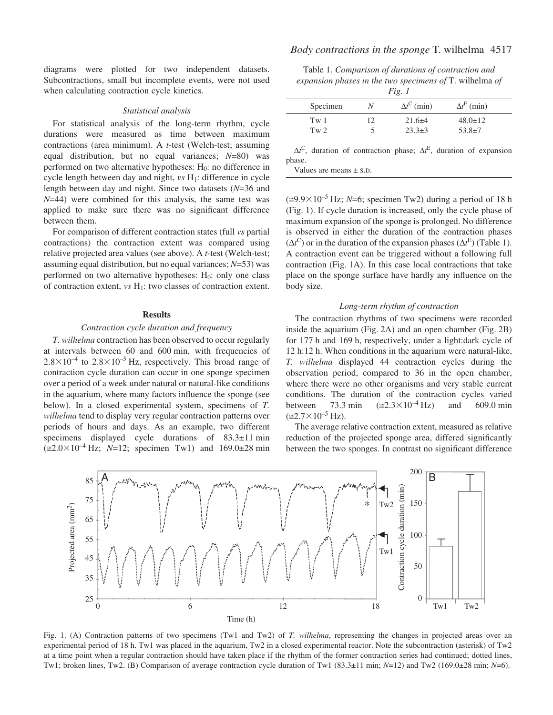diagrams were plotted for two independent datasets. Subcontractions, small but incomplete events, were not used when calculating contraction cycle kinetics.

#### *Statistical analysis*

For statistical analysis of the long-term rhythm, cycle durations were measured as time between maximum contractions (area minimum). A *t*-test (Welch-test; assuming equal distribution, but no equal variances; *N*=80) was performed on two alternative hypotheses:  $H_0$ : no difference in cycle length between day and night, *vs* H<sub>1</sub>: difference in cycle length between day and night. Since two datasets (*N*=36 and *N*=44) were combined for this analysis, the same test was applied to make sure there was no significant difference between them.

For comparison of different contraction states (full *vs* partial contractions) the contraction extent was compared using relative projected area values (see above). A *t*-test (Welch-test; assuming equal distribution, but no equal variances; *N*=53) was performed on two alternative hypotheses:  $H_0$ : only one class of contraction extent,  $v_s$  H<sub>1</sub>: two classes of contraction extent.

## **Results**

# *Contraction cycle duration and frequency*

*T. wilhelma* contraction has been observed to occur regularly at intervals between 60 and 600 min, with frequencies of  $2.8\times10^{-4}$  to  $2.8\times10^{-5}$  Hz, respectively. This broad range of contraction cycle duration can occur in one sponge specimen over a period of a week under natural or natural-like conditions in the aquarium, where many factors influence the sponge (see below). In a closed experimental system, specimens of *T. wilhelma* tend to display very regular contraction patterns over periods of hours and days. As an example, two different specimens displayed cycle durations of  $83.3 \pm 11$  min  $(\approx 2.0 \times 10^{-4} \text{ Hz}; N=12; \text{ specimen} \text{ Tw1})$  and 169.0 $\pm 28 \text{ min}$ 

Table 1. Comparison of durations of contraction and *expansion phases in the two specimens of* T. wilhelma *of Fig.·1*

| $1 \nu \lambda \cdot 1$ |   |                          |                               |  |  |  |  |  |  |
|-------------------------|---|--------------------------|-------------------------------|--|--|--|--|--|--|
| Specimen                | N | $\Delta t^{\rm C}$ (min) | $\Delta t^{\rm E}$ (min)      |  |  |  |  |  |  |
| Tw 1<br>Tw 2            |   | $21.6+4$<br>$23.3 \pm 3$ | $48.0 \pm 12$<br>$53.8 \pm 7$ |  |  |  |  |  |  |

∆*t* C, duration of contraction phase; ∆*t* E, duration of expansion phase.

Values are means ± S.D.

 $(\approx 9.9 \times 10^{-5} \text{ Hz}; N=6; \text{ specimen Tw2})$  during a period of 18 h (Fig. 1). If cycle duration is increased, only the cycle phase of maximum expansion of the sponge is prolonged. No difference is observed in either the duration of the contraction phases  $(\Delta t^{\mathbb{C}})$  or in the duration of the expansion phases ( $\Delta t^{\mathbb{E}}$ ) (Table 1). A contraction event can be triggered without a following full contraction (Fig.  $1A$ ). In this case local contractions that take place on the sponge surface have hardly any influence on the body size.

## *Long-term rhythm of contraction*

The contraction rhythms of two specimens were recorded inside the aquarium (Fig.  $2A$ ) and an open chamber (Fig.  $2B$ ) for 177 h and 169 h, respectively, under a light:dark cycle of 12 h:12 h. When conditions in the aquarium were natural-like, *T. wilhelma* displayed 44 contraction cycles during the observation period, compared to 36 in the open chamber, where there were no other organisms and very stable current conditions. The duration of the contraction cycles varied between 73.3 min ( $\approx 2.3 \times 10^{-4}$  Hz) and 609.0 min  $(\approx 2.7 \times 10^{-5} \text{ Hz})$ .

The average relative contraction extent, measured as relative reduction of the projected sponge area, differed significantly between the two sponges. In contrast no significant difference



Fig. 1. (A) Contraction patterns of two specimens (Tw1 and Tw2) of *T. wilhelma*, representing the changes in projected areas over an experimental period of 18 h. Tw1 was placed in the aquarium, Tw2 in a closed experimental reactor. Note the subcontraction (asterisk) of Tw2 at a time point when a regular contraction should have taken place if the rhythm of the former contraction series had continued; dotted lines, Tw1; broken lines, Tw2. (B) Comparison of average contraction cycle duration of Tw1 (83.3±11 min; *N*=12) and Tw2 (169.0±28 min; *N*=6).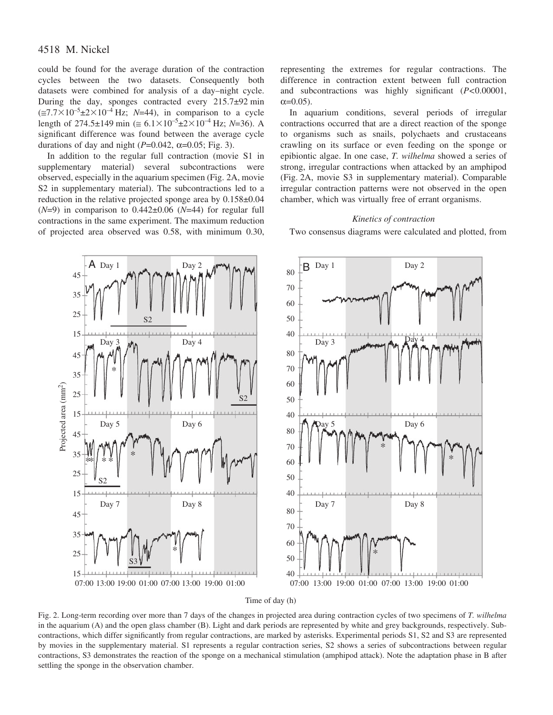could be found for the average duration of the contraction cycles between the two datasets. Consequently both datasets were combined for analysis of a day–night cycle. During the day, sponges contracted every  $215.7\pm92$  min  $(\approx 7.7 \times 10^{-5} \pm 2 \times 10^{-4} \text{ Hz};$  *N*=44), in comparison to a cycle length of 274.5±149 min ( $\approx 6.1 \times 10^{-5} \pm 2 \times 10^{-4}$  Hz; *N*=36). A significant difference was found between the average cycle durations of day and night  $(P=0.042, \alpha=0.05;$  Fig. 3).

In addition to the regular full contraction (movie S1 in supplementary material) several subcontractions were observed, especially in the aquarium specimen (Fig. 2A, movie S2 in supplementary material). The subcontractions led to a reduction in the relative projected sponge area by 0.158±0.04 (*N*=9) in comparison to 0.442±0.06 (*N*=44) for regular full contractions in the same experiment. The maximum reduction of projected area observed was 0.58, with minimum 0.30,

representing the extremes for regular contractions. The difference in contraction extent between full contraction and subcontractions was highly significant (*P<*0.00001,  $α=0.05$ ).

In aquarium conditions, several periods of irregular contractions occurred that are a direct reaction of the sponge to organisms such as snails, polychaets and crustaceans crawling on its surface or even feeding on the sponge or epibiontic algae. In one case, *T. wilhelma* showed a series of strong, irregular contractions when attacked by an amphipod (Fig. 2A, movie S3 in supplementary material). Comparable irregular contraction patterns were not observed in the open chamber, which was virtually free of errant organisms.

#### *Kinetics of contraction*

Two consensus diagrams were calculated and plotted, from





Fig. 2. Long-term recording over more than 7 days of the changes in projected area during contraction cycles of two specimens of *T. wilhelma* in the aquarium (A) and the open glass chamber (B). Light and dark periods are represented by white and grey backgrounds, respectively. Subcontractions, which differ significantly from regular contractions, are marked by asterisks. Experimental periods S1, S2 and S3 are represented by movies in the supplementary material. S1 represents a regular contraction series, S2 shows a series of subcontractions between regular contractions, S3 demonstrates the reaction of the sponge on a mechanical stimulation (amphipod attack). Note the adaptation phase in B after settling the sponge in the observation chamber.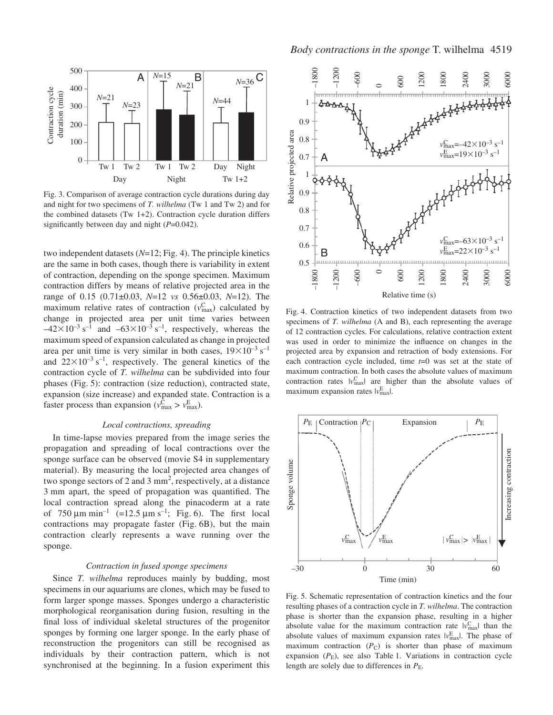

Fig. 3. Comparison of average contraction cycle durations during day and night for two specimens of *T. wilhelma* (Tw 1 and Tw 2) and for the combined datasets (Tw 1+2). Contraction cycle duration differs significantly between day and night (*P*=0.042).

two independent datasets  $(N=12; Fig. 4)$ . The principle kinetics are the same in both cases, though there is variability in extent of contraction, depending on the sponge specimen. Maximum contraction differs by means of relative projected area in the range of 0.15 (0.71±0.03, *N*=12 *vs* 0.56±0.03, *N*=12). The maximum relative rates of contraction  $(v_{\text{max}}^C)$  calculated by change in projected area per unit time varies between  $-42\times10^{-3}$  s<sup>-1</sup> and  $-63\times10^{-3}$  s<sup>-1</sup>, respectively, whereas the maximum speed of expansion calculated as change in projected area per unit time is very similar in both cases,  $19\times10^{-3}$  s<sup>-1</sup> and  $22\times10^{-3}$  s<sup>-1</sup>, respectively. The general kinetics of the contraction cycle of *T. wilhelma* can be subdivided into four phases (Fig. 5): contraction (size reduction), contracted state, expansion (size increase) and expanded state. Contraction is a faster process than expansion ( $v_{\text{max}}^{\text{C}} > v_{\text{max}}^{\text{E}}$ ).

# *Local contractions, spreading*

In time-lapse movies prepared from the image series the propagation and spreading of local contractions over the sponge surface can be observed (movie S4 in supplementary material). By measuring the local projected area changes of two sponge sectors of 2 and 3 mm<sup>2</sup>, respectively, at a distance 3 mm apart, the speed of propagation was quantified. The local contraction spread along the pinacoderm at a rate of 750  $\mu$ m min<sup>-1</sup> (=12.5  $\mu$ m s<sup>-1</sup>; Fig. 6). The first local contractions may propagate faster (Fig. 6B), but the main contraction clearly represents a wave running over the sponge.

# *Contraction in fused sponge specimens*

Since *T. wilhelma* reproduces mainly by budding, most specimens in our aquariums are clones, which may be fused to form larger sponge masses. Sponges undergo a characteristic morphological reorganisation during fusion, resulting in the final loss of individual skeletal structures of the progenitor sponges by forming one larger sponge. In the early phase of reconstruction the progenitors can still be recognised as individuals by their contraction pattern, which is not synchronised at the beginning. In a fusion experiment this



Fig. 4. Contraction kinetics of two independent datasets from two specimens of *T. wilhelma* (A and B), each representing the average of 12 contraction cycles. For calculations, relative contraction extent was used in order to minimize the influence on changes in the projected area by expansion and retraction of body extensions. For each contraction cycle included, time *t*=0 was set at the state of maximum contraction. In both cases the absolute values of maximum contraction rates  $|v_{\text{max}}^{\text{C}}|$  are higher than the absolute values of maximum expansion rates  $|v_{\text{max}}^{\text{E}}|$ .



Fig. 5. Schematic representation of contraction kinetics and the four resulting phases of a contraction cycle in *T. wilhelma*. The contraction phase is shorter than the expansion phase, resulting in a higher absolute value for the maximum contraction rate  $|v_{\text{max}}^{\text{C}}|$  than the absolute values of maximum expansion rates  $|v_{\text{max}}^{\text{E}}|$ . The phase of maximum contraction  $(P_C)$  is shorter than phase of maximum expansion  $(P_E)$ , see also Table 1. Variations in contraction cycle length are solely due to differences in  $P_{\text{E}}$ .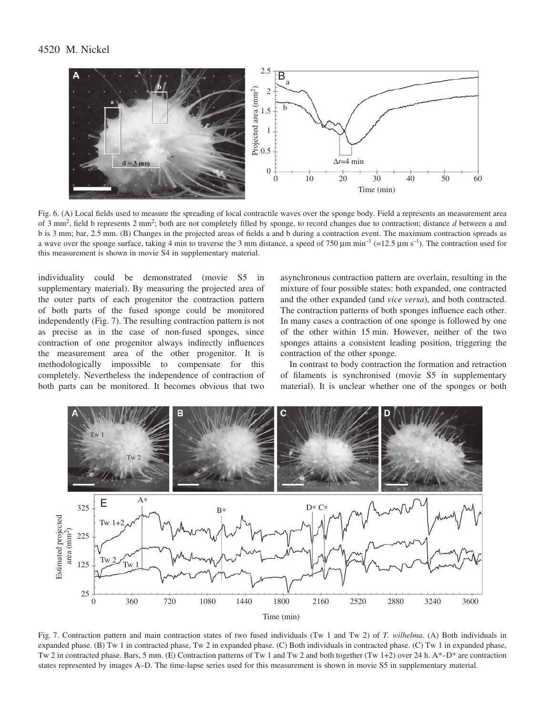

Fig. 6. (A) Local fields used to measure the spreading of local contractile waves over the sponge body. Field a represents an measurement area of 3 mm<sup>2</sup>, field b represents 2 mm<sup>2</sup>; both are not completely filled by sponge, to record changes due to contraction; distance *d* between a and b is 3 mm; bar, 2.5 mm. (B) Changes in the projected areas of fields a and b during a contraction event. The maximum contraction spreads as a wave over the sponge surface, taking 4 min to traverse the 3 mm distance, a speed of 750  $\mu$ m min<sup>-1</sup> (=12.5  $\mu$ m s<sup>-1</sup>). The contraction used for this measurement is shown in movie S4 in supplementary material.

individuality could be demonstrated (movie S5 in supplementary material). By measuring the projected area of the outer parts of each progenitor the contraction pattern of both parts of the fused sponge could be monitored independently (Fig. 7). The resulting contraction pattern is not as precise as in the case of non-fused sponges, since contraction of one progenitor always indirectly influences the measurement area of the other progenitor. It is methodologically impossible to compensate for this completely. Nevertheless the independence of contraction of both parts can be monitored. It becomes obvious that two asynchronous contraction pattern are overlain, resulting in the mixture of four possible states: both expanded, one contracted and the other expanded (and *vice versa*), and both contracted. The contraction patterns of both sponges influence each other. In many cases a contraction of one sponge is followed by one of the other within 15 min. However, neither of the two sponges attains a consistent leading position, triggering the contraction of the other sponge.

In contrast to body contraction the formation and retraction of filaments is synchronised (movie S5 in supplementary material). It is unclear whether one of the sponges or both



Fig. 7. Contraction pattern and main contraction states of two fused individuals (Tw 1 and Tw 2) of *T. wilhelma*. (A) Both individuals in expanded phase. (B) Tw 1 in contracted phase, Tw 2 in expanded phase. (C) Both individuals in contracted phase. (C) Tw 1 in expanded phase, Tw 2 in contracted phase. Bars, 5 mm. (E) Contraction patterns of Tw 1 and Tw 2 and both together (Tw 1+2) over 24 h.  $A^*$ –D\* are contraction states represented by images A–D. The time-lapse series used for this measurement is shown in movie S5 in supplementary material.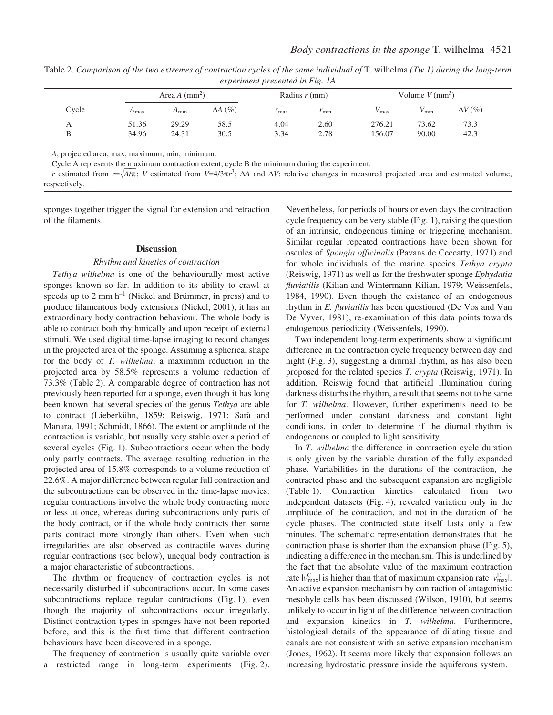| $\alpha$ |                  |                           |                |                 |               |                               |              |                |  |  |
|----------|------------------|---------------------------|----------------|-----------------|---------------|-------------------------------|--------------|----------------|--|--|
|          |                  | Area $A \, (\text{mm}^2)$ |                | Radius $r$ (mm) |               | Volume $V$ (mm <sup>3</sup> ) |              |                |  |  |
| Cycle    | $A_{\text{max}}$ | $A_{\min}$                | $\Delta A$ (%) | $r_{\rm max}$   | $r_{\rm min}$ | √ max                         | $\gamma$ min | $\Delta V$ (%) |  |  |
| A        | 51.36            | 29.29                     | 58.5           | 4.04            | 2.60          | 276.21                        | 73.62        | 73.3           |  |  |
|          | 34.96            | 24.31                     | 30.5           | 3.34            | 2.78          | 156.07                        | 90.00        | 42.3           |  |  |

Table 2. Comparison of the two extremes of contraction cycles of the same individual of T. wilhelma *(Tw 1)* during the long-term *experiment presented in Fig. 1A* 

*A*, projected area; max, maximum; min, minimum.

Cycle A represents the maximum contraction extent, cycle B the minimum during the experiment.

*r* estimated from *r*= $\sqrt{A/\pi}$ ; *V* estimated from *V*=4/3π*r*<sup>3</sup>; ∆*A* and ∆*V*: relative changes in measured projected area and estimated volume, respectively.

sponges together trigger the signal for extension and retraction of the filaments.

#### **Discussion**

#### *Rhythm and kinetics of contraction*

*Tethya wilhelma* is one of the behaviourally most active sponges known so far. In addition to its ability to crawl at speeds up to 2 mm  $h^{-1}$  (Nickel and Brümmer, in press) and to produce filamentous body extensions (Nickel, 2001), it has an extraordinary body contraction behaviour. The whole body is able to contract both rhythmically and upon receipt of external stimuli. We used digital time-lapse imaging to record changes in the projected area of the sponge. Assuming a spherical shape for the body of *T. wilhelma*, a maximum reduction in the projected area by 58.5% represents a volume reduction of 73.3% (Table 2). A comparable degree of contraction has not previously been reported for a sponge, even though it has long been known that several species of the genus *Tethya* are able to contract (Lieberkühn, 1859; Reiswig, 1971; Sarà and Manara, 1991; Schmidt, 1866). The extent or amplitude of the contraction is variable, but usually very stable over a period of several cycles (Fig. 1). Subcontractions occur when the body only partly contracts. The average resulting reduction in the projected area of 15.8% corresponds to a volume reduction of 22.6%. A major difference between regular full contraction and the subcontractions can be observed in the time-lapse movies: regular contractions involve the whole body contracting more or less at once, whereas during subcontractions only parts of the body contract, or if the whole body contracts then some parts contract more strongly than others. Even when such irregularities are also observed as contractile waves during regular contractions (see below), unequal body contraction is a major characteristic of subcontractions.

The rhythm or frequency of contraction cycles is not necessarily disturbed if subcontractions occur. In some cases  $subcontractions$  replace regular contractions (Fig. 1), even though the majority of subcontractions occur irregularly. Distinct contraction types in sponges have not been reported before, and this is the first time that different contraction behaviours have been discovered in a sponge.

The frequency of contraction is usually quite variable over a restricted range in long-term experiments (Fig. 2).

Nevertheless, for periods of hours or even days the contraction cycle frequency can be very stable  $(Fig. 1)$ , raising the question of an intrinsic, endogenous timing or triggering mechanism. Similar regular repeated contractions have been shown for oscules of *Spongia officinalis* (Pavans de Ceccatty, 1971) and for whole individuals of the marine species *Tethya crypta* (Reiswig, 1971) as well as for the freshwater sponge *Ephydatia fluviatilis* (Kilian and Wintermann-Kilian, 1979; Weissenfels, 1984, 1990). Even though the existance of an endogenous rhythm in *E. fluviatilis* has been questioned (De Vos and Van De Vyver, 1981), re-examination of this data points towards endogenous periodicity (Weissenfels, 1990).

Two independent long-term experiments show a significant difference in the contraction cycle frequency between day and night (Fig. 3), suggesting a diurnal rhythm, as has also been proposed for the related species *T. crypta* (Reiswig, 1971). In addition, Reiswig found that artificial illumination during darkness disturbs the rhythm, a result that seems not to be same for *T. wilhelma*. However, further experiments need to be performed under constant darkness and constant light conditions, in order to determine if the diurnal rhythm is endogenous or coupled to light sensitivity.

In *T. wilhelma* the difference in contraction cycle duration is only given by the variable duration of the fully expanded phase. Variabilities in the durations of the contraction, the contracted phase and the subsequent expansion are negligible (Table·1). Contraction kinetics calculated from two independent datasets (Fig. 4), revealed variation only in the amplitude of the contraction, and not in the duration of the cycle phases. The contracted state itself lasts only a few minutes. The schematic representation demonstrates that the contraction phase is shorter than the expansion phase (Fig. 5), indicating a difference in the mechanism. This is underlined by the fact that the absolute value of the maximum contraction rate  $|v_{\text{max}}^{\text{C}}|$  is higher than that of maximum expansion rate  $|v_{\text{max}}^{\text{E}}|$ . An active expansion mechanism by contraction of antagonistic mesohyle cells has been discussed (Wilson, 1910), but seems unlikely to occur in light of the difference between contraction and expansion kinetics in *T. wilhelma*. Furthermore, histological details of the appearance of dilating tissue and canals are not consistent with an active expansion mechanism (Jones, 1962). It seems more likely that expansion follows an increasing hydrostatic pressure inside the aquiferous system.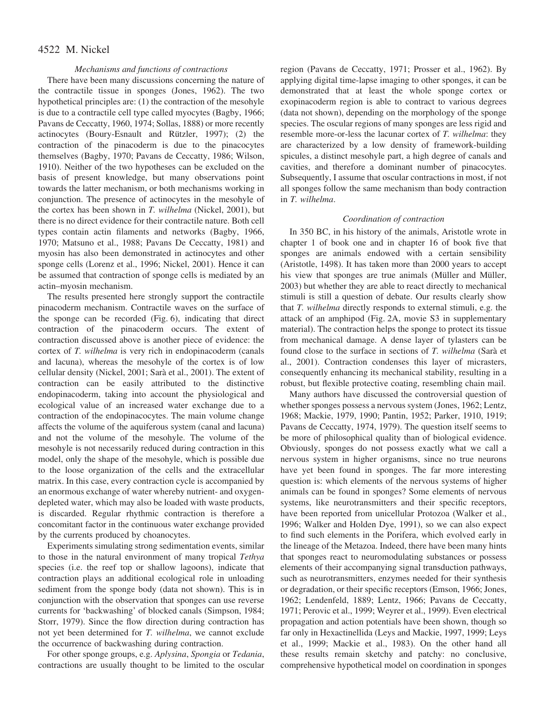# *Mechanisms and functions of contractions*

There have been many discussions concerning the nature of the contractile tissue in sponges (Jones, 1962). The two hypothetical principles are: (1) the contraction of the mesohyle is due to a contractile cell type called myocytes (Bagby, 1966; Pavans de Ceccatty, 1960, 1974; Sollas, 1888) or more recently actinocytes (Boury-Esnault and Rützler, 1997); (2) the contraction of the pinacoderm is due to the pinacocytes themselves (Bagby, 1970; Pavans de Ceccatty, 1986; Wilson, 1910). Neither of the two hypotheses can be excluded on the basis of present knowledge, but many observations point towards the latter mechanism, or both mechanisms working in conjunction. The presence of actinocytes in the mesohyle of the cortex has been shown in *T. wilhelma* (Nickel, 2001), but there is no direct evidence for their contractile nature. Both cell types contain actin filaments and networks (Bagby, 1966, 1970; Matsuno et al., 1988; Pavans De Ceccatty, 1981) and myosin has also been demonstrated in actinocytes and other sponge cells (Lorenz et al., 1996; Nickel, 2001). Hence it can be assumed that contraction of sponge cells is mediated by an actin–myosin mechanism.

The results presented here strongly support the contractile pinacoderm mechanism. Contractile waves on the surface of the sponge can be recorded  $(Fig. 6)$ , indicating that direct contraction of the pinacoderm occurs. The extent of contraction discussed above is another piece of evidence: the cortex of *T. wilhelma* is very rich in endopinacoderm (canals and lacuna), whereas the mesohyle of the cortex is of low cellular density (Nickel, 2001; Sarà et al., 2001). The extent of contraction can be easily attributed to the distinctive endopinacoderm, taking into account the physiological and ecological value of an increased water exchange due to a contraction of the endopinacocytes. The main volume change affects the volume of the aquiferous system (canal and lacuna) and not the volume of the mesohyle. The volume of the mesohyle is not necessarily reduced during contraction in this model, only the shape of the mesohyle, which is possible due to the loose organization of the cells and the extracellular matrix. In this case, every contraction cycle is accompanied by an enormous exchange of water whereby nutrient- and oxygendepleted water, which may also be loaded with waste products, is discarded. Regular rhythmic contraction is therefore a concomitant factor in the continuous water exchange provided by the currents produced by choanocytes.

Experiments simulating strong sedimentation events, similar to those in the natural environment of many tropical *Tethya* species (i.e. the reef top or shallow lagoons), indicate that contraction plays an additional ecological role in unloading sediment from the sponge body (data not shown). This is in conjunction with the observation that sponges can use reverse currents for 'backwashing' of blocked canals (Simpson, 1984; Storr, 1979). Since the flow direction during contraction has not yet been determined for *T. wilhelma*, we cannot exclude the occurrence of backwashing during contraction.

For other sponge groups, e.g. *Aplysina*, *Spongia* or *Tedania*, contractions are usually thought to be limited to the oscular region (Pavans de Ceccatty, 1971; Prosser et al., 1962). By applying digital time-lapse imaging to other sponges, it can be demonstrated that at least the whole sponge cortex or exopinacoderm region is able to contract to various degrees (data not shown), depending on the morphology of the sponge species. The oscular regions of many sponges are less rigid and resemble more-or-less the lacunar cortex of *T. wilhelma*: they are characterized by a low density of framework-building spicules, a distinct mesohyle part, a high degree of canals and cavities, and therefore a dominant number of pinacocytes. Subsequently, I assume that oscular contractions in most, if not all sponges follow the same mechanism than body contraction in *T. wilhelma*.

## *Coordination of contraction*

In 350 BC, in his history of the animals, Aristotle wrote in chapter 1 of book one and in chapter 16 of book five that sponges are animals endowed with a certain sensibility (Aristotle, 1498). It has taken more than 2000 years to accept his view that sponges are true animals (Müller and Müller, 2003) but whether they are able to react directly to mechanical stimuli is still a question of debate. Our results clearly show that *T. wilhelma* directly responds to external stimuli, e.g. the attack of an amphipod (Fig. 2A, movie S3 in supplementary material). The contraction helps the sponge to protect its tissue from mechanical damage. A dense layer of tylasters can be found close to the surface in sections of *T. wilhelma* (Sarà et al., 2001). Contraction condenses this layer of micrasters, consequently enhancing its mechanical stability, resulting in a robust, but flexible protective coating, resembling chain mail.

Many authors have discussed the controversial question of whether sponges possess a nervous system (Jones, 1962; Lentz, 1968; Mackie, 1979, 1990; Pantin, 1952; Parker, 1910, 1919; Pavans de Ceccatty, 1974, 1979). The question itself seems to be more of philosophical quality than of biological evidence. Obviously, sponges do not possess exactly what we call a nervous system in higher organisms, since no true neurons have yet been found in sponges. The far more interesting question is: which elements of the nervous systems of higher animals can be found in sponges? Some elements of nervous systems, like neurotransmitters and their specific receptors, have been reported from unicellular Protozoa (Walker et al., 1996; Walker and Holden Dye, 1991), so we can also expect to find such elements in the Porifera, which evolved early in the lineage of the Metazoa. Indeed, there have been many hints that sponges react to neuromodulating substances or possess elements of their accompanying signal transduction pathways, such as neurotransmitters, enzymes needed for their synthesis or degradation, or their specific receptors (Emson, 1966; Jones, 1962; Lendenfeld, 1889; Lentz, 1966; Pavans de Ceccatty, 1971; Perovic et al., 1999; Weyrer et al., 1999). Even electrical propagation and action potentials have been shown, though so far only in Hexactinellida (Leys and Mackie, 1997, 1999; Leys et al., 1999; Mackie et al., 1983). On the other hand all these results remain sketchy and patchy: no conclusive, comprehensive hypothetical model on coordination in sponges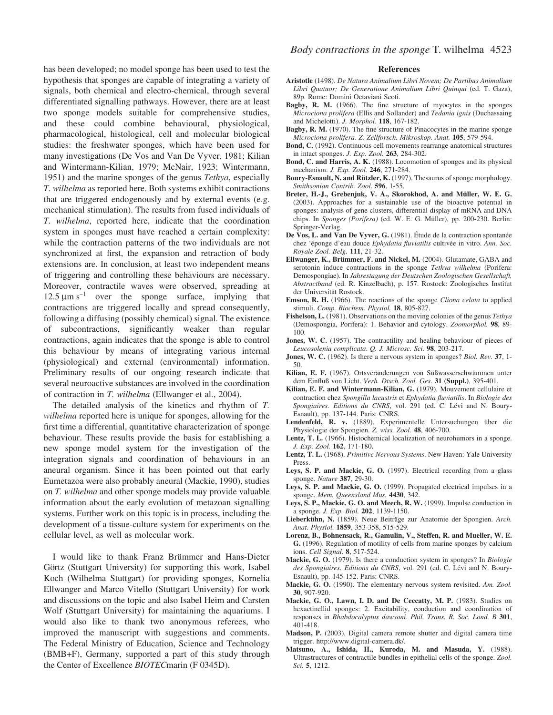has been developed; no model sponge has been used to test the hypothesis that sponges are capable of integrating a variety of signals, both chemical and electro-chemical, through several differentiated signalling pathways. However, there are at least two sponge models suitable for comprehensive studies, and these could combine behavioural, physiological, pharmacological, histological, cell and molecular biological studies: the freshwater sponges, which have been used for many investigations (De Vos and Van De Vyver, 1981; Kilian and Wintermann-Kilian, 1979; McNair, 1923; Wintermann, 1951) and the marine sponges of the genus *Tethya*, especially *T. wilhelma* as reported here. Both systems exhibit contractions that are triggered endogenously and by external events (e.g. mechanical stimulation). The results from fused individuals of *T. wilhelma*, reported here, indicate that the coordination system in sponges must have reached a certain complexity: while the contraction patterns of the two individuals are not synchronized at first, the expansion and retraction of body extensions are. In conclusion, at least two independent means of triggering and controlling these behaviours are necessary. Moreover, contractile waves were observed, spreading at 12.5  $\mu$ m s<sup>-1</sup> over the sponge surface, implying that contractions are triggered locally and spread consequently, following a diffusing (possibly chemical) signal. The existence of subcontractions, significantly weaker than regular contractions, again indicates that the sponge is able to control this behaviour by means of integrating various internal (physiological) and external (environmental) information. Preliminary results of our ongoing research indicate that several neuroactive substances are involved in the coordination of contraction in *T. wilhelma* (Ellwanger et al., 2004).

The detailed analysis of the kinetics and rhythm of *T. wilhelma* reported here is unique for sponges, allowing for the first time a differential, quantitative characterization of sponge behaviour. These results provide the basis for establishing a new sponge model system for the investigation of the integration signals and coordination of behaviours in an aneural organism. Since it has been pointed out that early Eumetazoa were also probably aneural (Mackie, 1990), studies on *T. wilhelma* and other sponge models may provide valuable information about the early evolution of metazoan signalling systems. Further work on this topic is in process, including the development of a tissue-culture system for experiments on the cellular level, as well as molecular work.

I would like to thank Franz Brümmer and Hans-Dieter Görtz (Stuttgart University) for supporting this work, Isabel Koch (Wilhelma Stuttgart) for providing sponges, Kornelia Ellwanger and Marco Vitello (Stuttgart University) for work and discussions on the topic and also Isabel Heim and Carsten Wolf (Stuttgart University) for maintaining the aquariums. I would also like to thank two anonymous referees, who improved the manuscript with suggestions and comments. The Federal Ministry of Education, Science and Technology (BMB+F), Germany, supported a part of this study through the Center of Excellence *BIOTEC*marin (F 0345D).

#### **References**

- **Aristotle** (1498). *De Natura Animalium Libri Novem; De Partibus Animalium Libri Quatuor; De Generatione Animalium Libri Quinqui* (ed. T. Gaza), 89p. Rome: Domini Octaviani Scoti.
- **Bagby, R. M.** (1966). The fine structure of myocytes in the sponges *Microciona prolifera* (Ellis and Sollander) and *Tedania ignis* (Duchassaing and Michelotti). *J. Morphol.* **118**, 167-182.
- **Bagby, R. M.** (1970). The fine structure of Pinacocytes in the marine sponge *Microciona prolifera*. *Z. Zellforsch. Mikroskop. Anat.* **105**, 579-594.
- **Bond, C.** (1992). Continuous cell movements rearrange anatomical structures in intact sponges. *J. Exp. Zool.* **263**, 284-302.
- **Bond, C. and Harris, A. K.** (1988). Locomotion of sponges and its physical mechanism. *J. Exp. Zool.* **246**, 271-284.
- **Boury-Esnault, N. and Rützler, K.** (1997). Thesaurus of sponge morphology. *Smithsonian Contrib. Zool.* **596**, 1-55.
- **Breter, H.-J., Grebenjuk, V. A., Skorokhod, A. and Müller, W. E. G.** (2003). Approaches for a sustainable use of the bioactive potential in sponges: analysis of gene clusters, differential display of mRNA and DNA chips. In *Sponges (Porifera)* (ed. W. E. G. Müller), pp. 200-230. Berlin: Springer-Verlag.
- **De Vos, L. and Van De Vyver, G.** (1981). Étude de la contraction spontanée chez 'éponge d'eau douce *Ephydatia fluviatilis* cultivée in vitro. *Ann. Soc. Royale Zool. Belg.* **111**, 21-32.
- **Ellwanger, K., Brümmer, F. and Nickel, M.** (2004). Glutamate, GABA and serotonin induce contractions in the sponge *Tethya wilhelma* (Porifera: Demospongiae). In *Jahrestagung der Deutschen Zoologischen Gesellschaft, Abstractband* (ed. R. Kinzelbach), p. 157. Rostock: Zoologisches Institut der Universität Rostock.
- **Emson, R. H.** (1966). The reactions of the sponge *Cliona celata* to applied stimuli. *Comp. Biochem. Physiol.* **18**, 805-827.
- **Fishelson, L.** (1981). Observations on the moving colonies of the genus *Tethya* (Demospongia, Porifera): 1. Behavior and cytology. *Zoomorphol.* **98**, 89- 100.
- Jones, W. C. (1957). The contractility and healing behaviour of pieces of *Leucosolenia complicata*. *Q. J. Microsc. Sci.* **98**, 203-217.
- **Jones, W. C.** (1962). Is there a nervous system in sponges? *Biol. Rev.* **37**, 1- 50.
- **Kilian, E. F.** (1967). Ortsveränderungen von Süßwasserschwämmen unter dem Einfluß von Licht. *Verh. Dtsch. Zool. Ges.* **31 (Suppl.)**, 395-401.
- **Kilian, E. F. and Wintermann-Kilian, G.** (1979). Mouvement cellulaire et contraction chez *Spongilla lacustris* et *Ephydatia fluviatilis*. In *Biologie des Spongiaires. Editions du CNRS*, vol. 291 (ed. C. Lévi and N. Boury-Esnault), pp. 137-144. Paris: CNRS.
- **Lendenfeld, R. v.** (1889). Experimentelle Untersuchungen über die Physiologie der Spongien. *Z. wiss. Zool.* **48**, 406-700.
- **Lentz, T. L.** (1966). Histochemical localization of neurohumors in a sponge. *J. Exp. Zool.* **162**, 171-180.
- **Lentz, T. L.** (1968). *Primitive Nervous Systems*. New Haven: Yale University Press.
- **Leys, S. P. and Mackie, G. O.** (1997). Electrical recording from a glass sponge. *Nature* **387**, 29-30.
- **Leys, S. P. and Mackie, G. O.** (1999). Propagated electrical impulses in a sponge. *Mem. Queensland Mus.* **4430**, 342.
- **Leys, S. P., Mackie, G. O. and Meech, R. W.** (1999). Impulse conduction in a sponge. *J. Exp. Biol.* **202**, 1139-1150.
- **Lieberkühn, N.** (1859). Neue Beiträge zur Anatomie der Spongien. *Arch. Anat. Physiol.* **1859**, 353-358, 515-529.
- **Lorenz, B., Bohnensack, R., Gamulin, V., Steffen, R. and Mueller, W. E. G.** (1996). Regulation of motility of cells from marine sponges by calcium ions. *Cell Signal.* **8**, 517-524.
- **Mackie, G. O.** (1979). Is there a conduction system in sponges? In *Biologie des Spongiaires. Editions du CNRS*, vol. 291 (ed. C. Lévi and N. Boury-Esnault), pp. 145-152. Paris: CNRS.
- **Mackie, G. O.** (1990). The elementary nervous system revisited. *Am. Zool.* **30**, 907-920.
- **Mackie, G. O., Lawn, I. D. and De Ceccatty, M. P.** (1983). Studies on hexactinellid sponges: 2. Excitability, conduction and coordination of responses in *Rhabdocalyptus dawsoni*. *Phil. Trans. R. Soc. Lond. B* **301**, 401-418.
- **Madson, P.** (2003). Digital camera remote shutter and digital camera time trigger. http://www.digital-camera.dk/.
- **Matsuno, A., Ishida, H., Kuroda, M. and Masuda, Y.** (1988). Ultrastructures of contractile bundles in epithelial cells of the sponge. *Zool. Sci.* **5**, 1212.